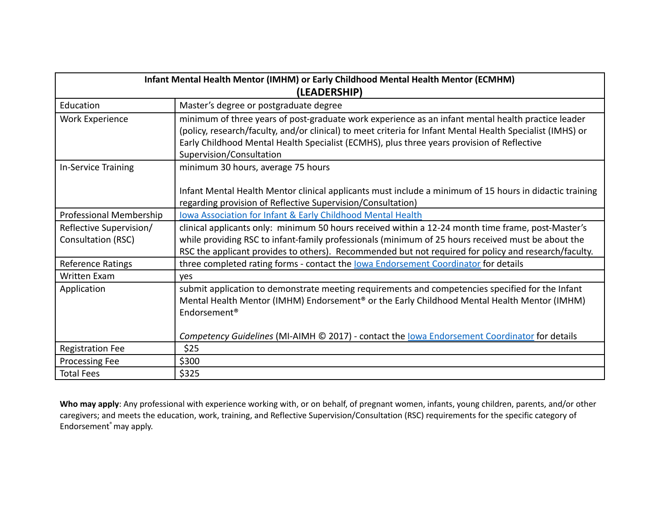| Infant Mental Health Mentor (IMHM) or Early Childhood Mental Health Mentor (ECMHM) |                                                                                                                                                                                                                                                                                                                                            |
|------------------------------------------------------------------------------------|--------------------------------------------------------------------------------------------------------------------------------------------------------------------------------------------------------------------------------------------------------------------------------------------------------------------------------------------|
| (LEADERSHIP)                                                                       |                                                                                                                                                                                                                                                                                                                                            |
| Education                                                                          | Master's degree or postgraduate degree                                                                                                                                                                                                                                                                                                     |
| Work Experience                                                                    | minimum of three years of post-graduate work experience as an infant mental health practice leader<br>(policy, research/faculty, and/or clinical) to meet criteria for Infant Mental Health Specialist (IMHS) or<br>Early Childhood Mental Health Specialist (ECMHS), plus three years provision of Reflective<br>Supervision/Consultation |
| In-Service Training                                                                | minimum 30 hours, average 75 hours                                                                                                                                                                                                                                                                                                         |
|                                                                                    | Infant Mental Health Mentor clinical applicants must include a minimum of 15 hours in didactic training<br>regarding provision of Reflective Supervision/Consultation)                                                                                                                                                                     |
| Professional Membership                                                            | <b>Iowa Association for Infant &amp; Early Childhood Mental Health</b>                                                                                                                                                                                                                                                                     |
| Reflective Supervision/<br>Consultation (RSC)                                      | clinical applicants only: minimum 50 hours received within a 12-24 month time frame, post-Master's<br>while providing RSC to infant-family professionals (minimum of 25 hours received must be about the<br>RSC the applicant provides to others). Recommended but not required for policy and research/faculty.                           |
| Reference Ratings                                                                  | three completed rating forms - contact the lowa Endorsement Coordinator for details                                                                                                                                                                                                                                                        |
| <b>Written Exam</b>                                                                | <b>ves</b>                                                                                                                                                                                                                                                                                                                                 |
| Application                                                                        | submit application to demonstrate meeting requirements and competencies specified for the Infant<br>Mental Health Mentor (IMHM) Endorsement <sup>®</sup> or the Early Childhood Mental Health Mentor (IMHM)<br>Endorsement <sup>®</sup>                                                                                                    |
|                                                                                    | Competency Guidelines (MI-AIMH © 2017) - contact the lowa Endorsement Coordinator for details                                                                                                                                                                                                                                              |
| <b>Registration Fee</b>                                                            | \$25                                                                                                                                                                                                                                                                                                                                       |
| Processing Fee                                                                     | \$300                                                                                                                                                                                                                                                                                                                                      |
| <b>Total Fees</b>                                                                  | \$325                                                                                                                                                                                                                                                                                                                                      |

**Who may apply**: Any professional with experience working with, or on behalf, of pregnant women, infants, young children, parents, and/or other caregivers; and meets the education, work, training, and Reflective Supervision/Consultation (RSC) requirements for the specific category of Endorsement ®may apply.